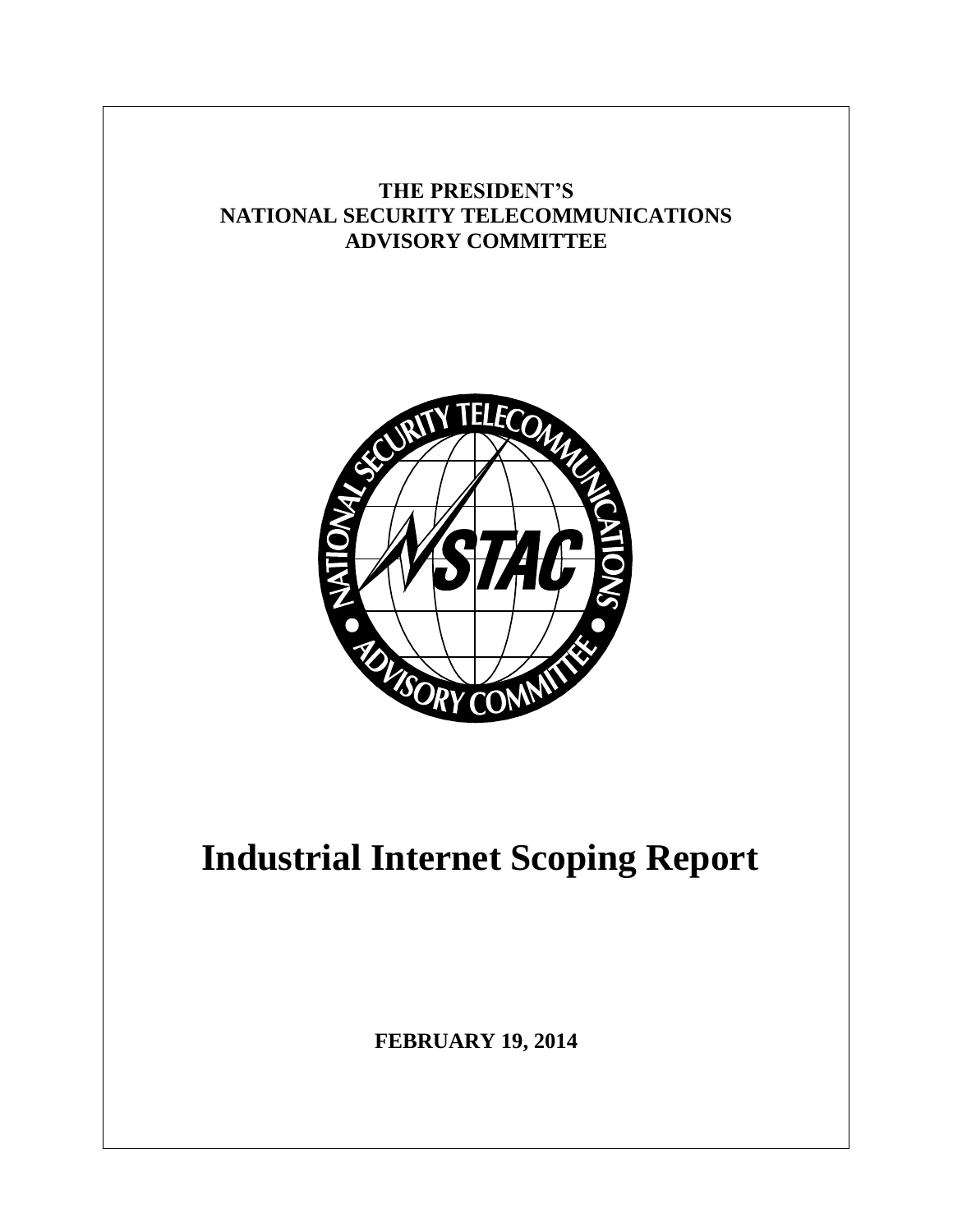# **THE PRESIDENT'S NATIONAL SECURITY TELECOMMUNICATIONS ADVISORY COMMITTEE**



# **Industrial Internet Scoping Report**

**FEBRUARY 19, 2014**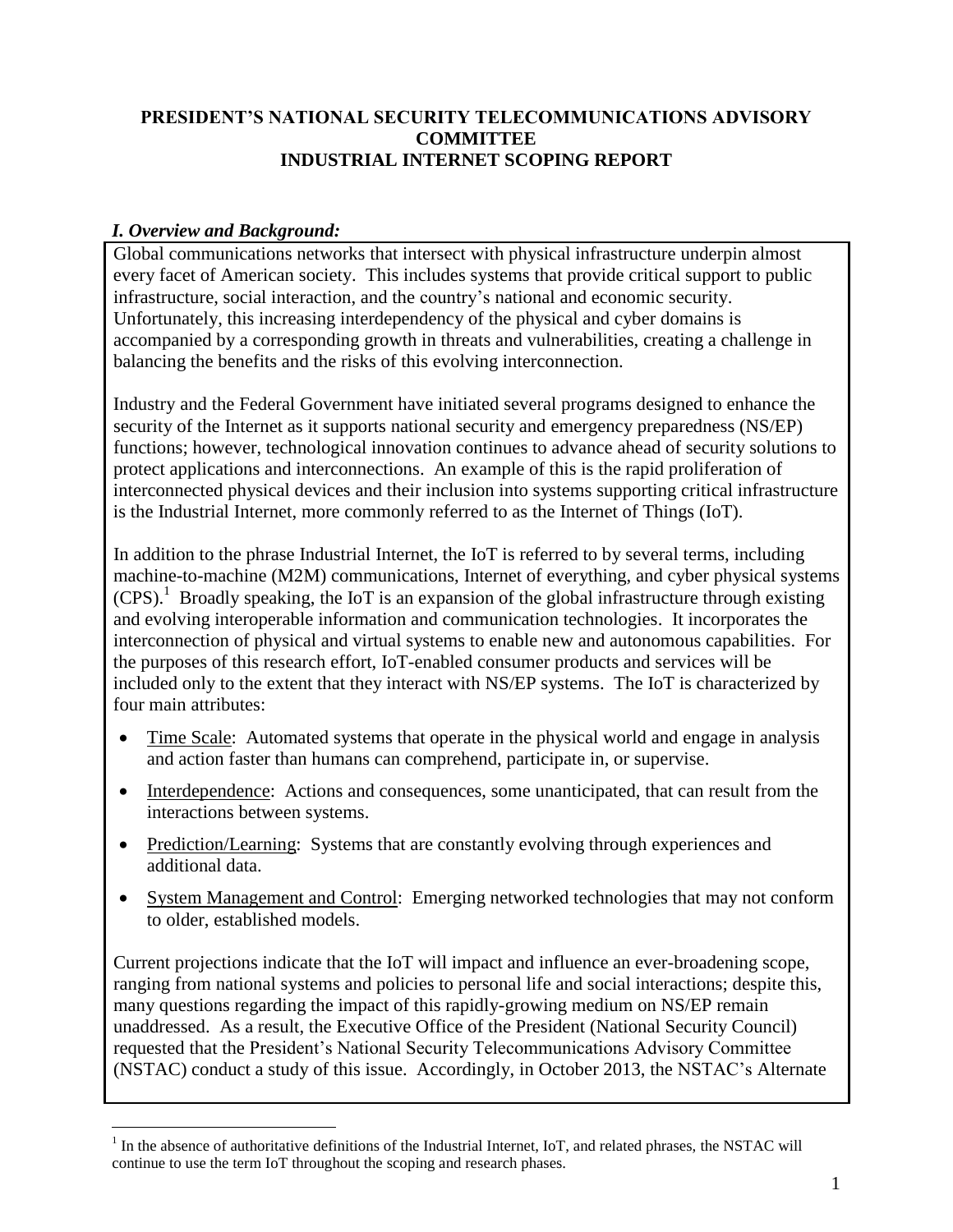#### **PRESIDENT'S NATIONAL SECURITY TELECOMMUNICATIONS ADVISORY COMMITTEE INDUSTRIAL INTERNET SCOPING REPORT**

#### *I. Overview and Background:*

 $\overline{a}$ 

Global communications networks that intersect with physical infrastructure underpin almost every facet of American society. This includes systems that provide critical support to public infrastructure, social interaction, and the country's national and economic security. Unfortunately, this increasing interdependency of the physical and cyber domains is accompanied by a corresponding growth in threats and vulnerabilities, creating a challenge in balancing the benefits and the risks of this evolving interconnection.

Industry and the Federal Government have initiated several programs designed to enhance the security of the Internet as it supports national security and emergency preparedness (NS/EP) functions; however, technological innovation continues to advance ahead of security solutions to protect applications and interconnections. An example of this is the rapid proliferation of interconnected physical devices and their inclusion into systems supporting critical infrastructure is the Industrial Internet, more commonly referred to as the Internet of Things (IoT).

In addition to the phrase Industrial Internet, the IoT is referred to by several terms, including machine-to-machine (M2M) communications, Internet of everything, and cyber physical systems  $(CPS)<sup>1</sup>$  Broadly speaking, the IoT is an expansion of the global infrastructure through existing and evolving interoperable information and communication technologies. It incorporates the interconnection of physical and virtual systems to enable new and autonomous capabilities. For the purposes of this research effort, IoT-enabled consumer products and services will be included only to the extent that they interact with NS/EP systems. The IoT is characterized by four main attributes:

- Time Scale: Automated systems that operate in the physical world and engage in analysis and action faster than humans can comprehend, participate in, or supervise.
- Interdependence: Actions and consequences, some unanticipated, that can result from the interactions between systems.
- Prediction/Learning: Systems that are constantly evolving through experiences and additional data.
- System Management and Control: Emerging networked technologies that may not conform to older, established models.

Current projections indicate that the IoT will impact and influence an ever-broadening scope, ranging from national systems and policies to personal life and social interactions; despite this, many questions regarding the impact of this rapidly-growing medium on NS/EP remain unaddressed. As a result, the Executive Office of the President (National Security Council) requested that the President's National Security Telecommunications Advisory Committee (NSTAC) conduct a study of this issue. Accordingly, in October 2013, the NSTAC's Alternate

 $<sup>1</sup>$  In the absence of authoritative definitions of the Industrial Internet, IoT, and related phrases, the NSTAC will</sup> continue to use the term IoT throughout the scoping and research phases.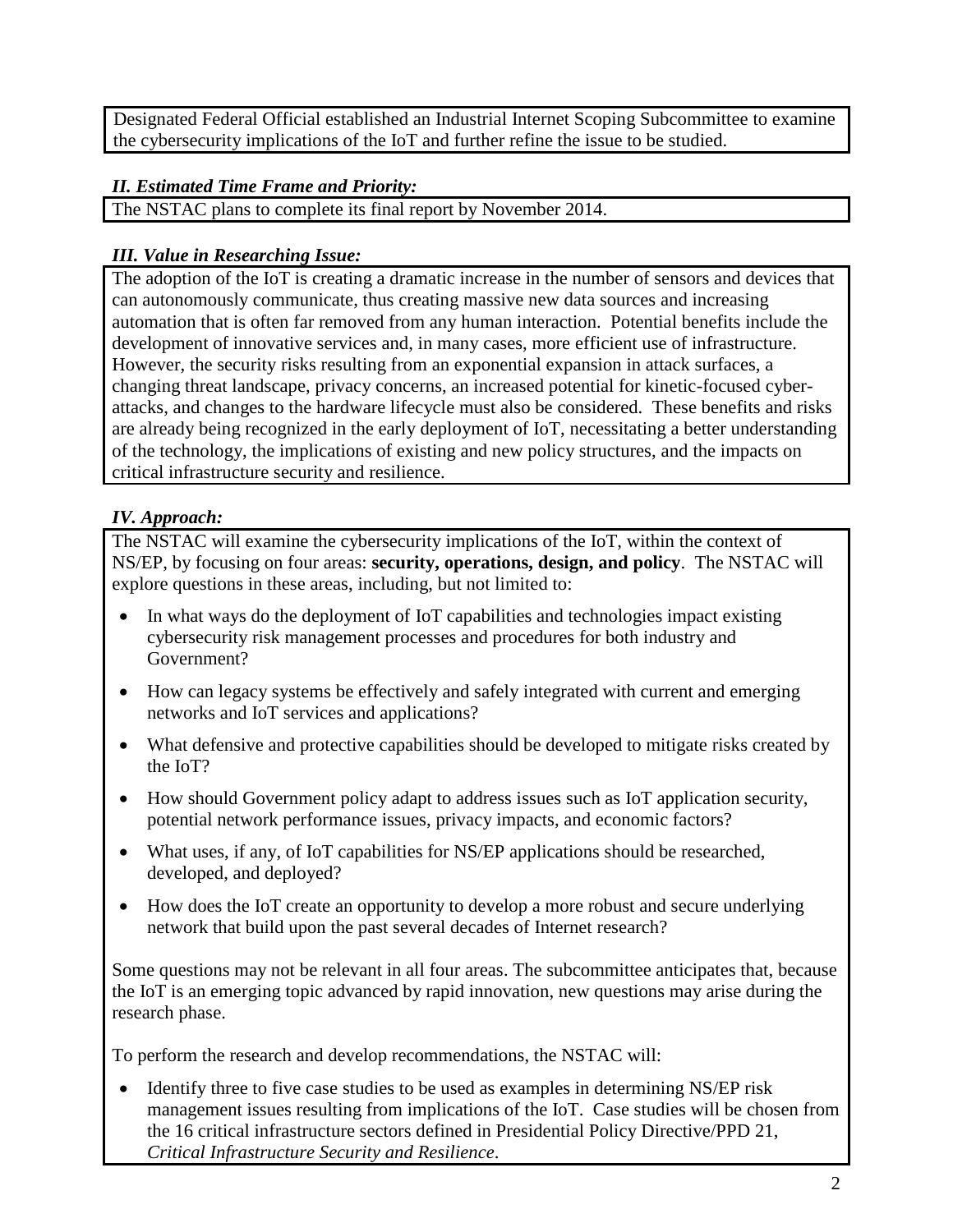Designated Federal Official established an Industrial Internet Scoping Subcommittee to examine the cybersecurity implications of the IoT and further refine the issue to be studied.

## *II. Estimated Time Frame and Priority:*

The NSTAC plans to complete its final report by November 2014.

# *III. Value in Researching Issue:*

The adoption of the IoT is creating a dramatic increase in the number of sensors and devices that can autonomously communicate, thus creating massive new data sources and increasing automation that is often far removed from any human interaction. Potential benefits include the development of innovative services and, in many cases, more efficient use of infrastructure. However, the security risks resulting from an exponential expansion in attack surfaces, a changing threat landscape, privacy concerns, an increased potential for kinetic-focused cyberattacks, and changes to the hardware lifecycle must also be considered. These benefits and risks are already being recognized in the early deployment of IoT, necessitating a better understanding of the technology, the implications of existing and new policy structures, and the impacts on critical infrastructure security and resilience.

# *IV. Approach:*

The NSTAC will examine the cybersecurity implications of the IoT, within the context of NS/EP, by focusing on four areas: **security, operations, design, and policy**. The NSTAC will explore questions in these areas, including, but not limited to:

- In what ways do the deployment of IoT capabilities and technologies impact existing cybersecurity risk management processes and procedures for both industry and Government?
- How can legacy systems be effectively and safely integrated with current and emerging networks and IoT services and applications?
- What defensive and protective capabilities should be developed to mitigate risks created by the IoT?
- How should Government policy adapt to address issues such as IoT application security, potential network performance issues, privacy impacts, and economic factors?
- What uses, if any, of IoT capabilities for NS/EP applications should be researched, developed, and deployed?
- How does the IoT create an opportunity to develop a more robust and secure underlying network that build upon the past several decades of Internet research?

Some questions may not be relevant in all four areas. The subcommittee anticipates that, because the IoT is an emerging topic advanced by rapid innovation, new questions may arise during the research phase.

To perform the research and develop recommendations, the NSTAC will:

 Identify three to five case studies to be used as examples in determining NS/EP risk management issues resulting from implications of the IoT. Case studies will be chosen from the 16 critical infrastructure sectors defined in Presidential Policy Directive/PPD 21, *Critical Infrastructure Security and Resilience*.